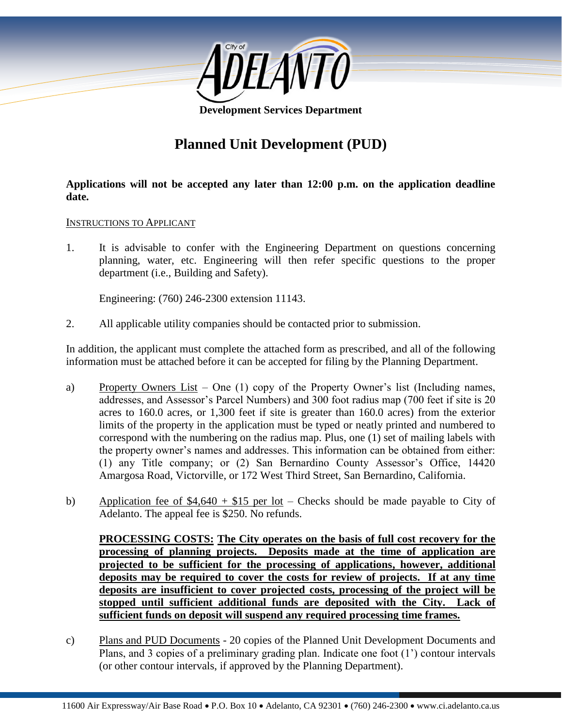

**Development Services Department**

# **Planned Unit Development (PUD)**

**Applications will not be accepted any later than 12:00 p.m. on the application deadline date.**

#### INSTRUCTIONS TO APPLICANT

1. It is advisable to confer with the Engineering Department on questions concerning planning, water, etc. Engineering will then refer specific questions to the proper department (i.e., Building and Safety).

Engineering: (760) 246-2300 extension 11143.

2. All applicable utility companies should be contacted prior to submission.

In addition, the applicant must complete the attached form as prescribed, and all of the following information must be attached before it can be accepted for filing by the Planning Department.

- a) Property Owners List One (1) copy of the Property Owner's list (Including names, addresses, and Assessor's Parcel Numbers) and 300 foot radius map (700 feet if site is 20 acres to 160.0 acres, or 1,300 feet if site is greater than 160.0 acres) from the exterior limits of the property in the application must be typed or neatly printed and numbered to correspond with the numbering on the radius map. Plus, one (1) set of mailing labels with the property owner's names and addresses. This information can be obtained from either: (1) any Title company; or (2) San Bernardino County Assessor's Office, 14420 Amargosa Road, Victorville, or 172 West Third Street, San Bernardino, California.
- b) Application fee of  $$4,640 + $15$  per lot Checks should be made payable to City of Adelanto. The appeal fee is \$250. No refunds.

**PROCESSING COSTS: The City operates on the basis of full cost recovery for the processing of planning projects. Deposits made at the time of application are projected to be sufficient for the processing of applications, however, additional deposits may be required to cover the costs for review of projects. If at any time deposits are insufficient to cover projected costs, processing of the project will be stopped until sufficient additional funds are deposited with the City. Lack of sufficient funds on deposit will suspend any required processing time frames.**

c) Plans and PUD Documents - 20 copies of the Planned Unit Development Documents and Plans, and 3 copies of a preliminary grading plan. Indicate one foot (1') contour intervals (or other contour intervals, if approved by the Planning Department).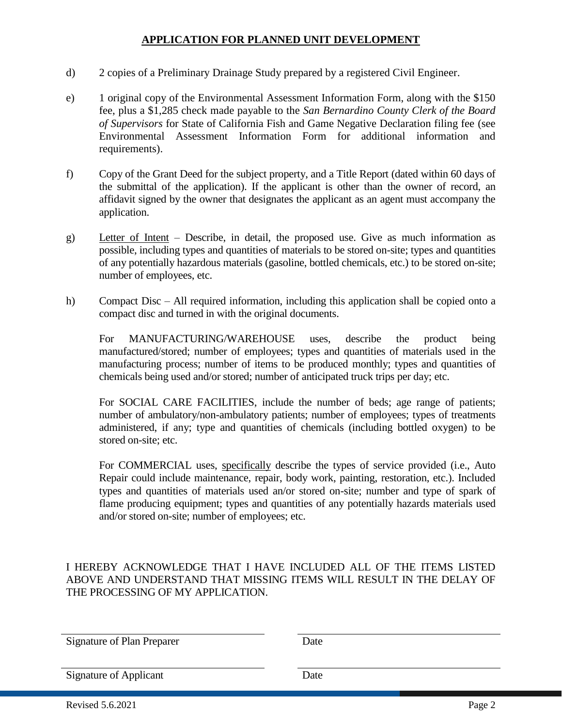- d) 2 copies of a Preliminary Drainage Study prepared by a registered Civil Engineer.
- e) 1 original copy of the Environmental Assessment Information Form, along with the \$150 fee, plus a \$1,285 check made payable to the *San Bernardino County Clerk of the Board of Supervisors* for State of California Fish and Game Negative Declaration filing fee (see Environmental Assessment Information Form for additional information and requirements).
- f) Copy of the Grant Deed for the subject property, and a Title Report (dated within 60 days of the submittal of the application). If the applicant is other than the owner of record, an affidavit signed by the owner that designates the applicant as an agent must accompany the application.
- g) Letter of Intent Describe, in detail, the proposed use. Give as much information as possible, including types and quantities of materials to be stored on-site; types and quantities of any potentially hazardous materials (gasoline, bottled chemicals, etc.) to be stored on-site; number of employees, etc.
- h) Compact Disc All required information, including this application shall be copied onto a compact disc and turned in with the original documents.

For MANUFACTURING/WAREHOUSE uses, describe the product being manufactured/stored; number of employees; types and quantities of materials used in the manufacturing process; number of items to be produced monthly; types and quantities of chemicals being used and/or stored; number of anticipated truck trips per day; etc.

For SOCIAL CARE FACILITIES, include the number of beds; age range of patients; number of ambulatory/non-ambulatory patients; number of employees; types of treatments administered, if any; type and quantities of chemicals (including bottled oxygen) to be stored on-site; etc.

For COMMERCIAL uses, specifically describe the types of service provided (i.e., Auto Repair could include maintenance, repair, body work, painting, restoration, etc.). Included types and quantities of materials used an/or stored on-site; number and type of spark of flame producing equipment; types and quantities of any potentially hazards materials used and/or stored on-site; number of employees; etc.

I HEREBY ACKNOWLEDGE THAT I HAVE INCLUDED ALL OF THE ITEMS LISTED ABOVE AND UNDERSTAND THAT MISSING ITEMS WILL RESULT IN THE DELAY OF THE PROCESSING OF MY APPLICATION.

Signature of Plan Preparer Date

Signature of Applicant Date

Revised 5.6.2021 Page 2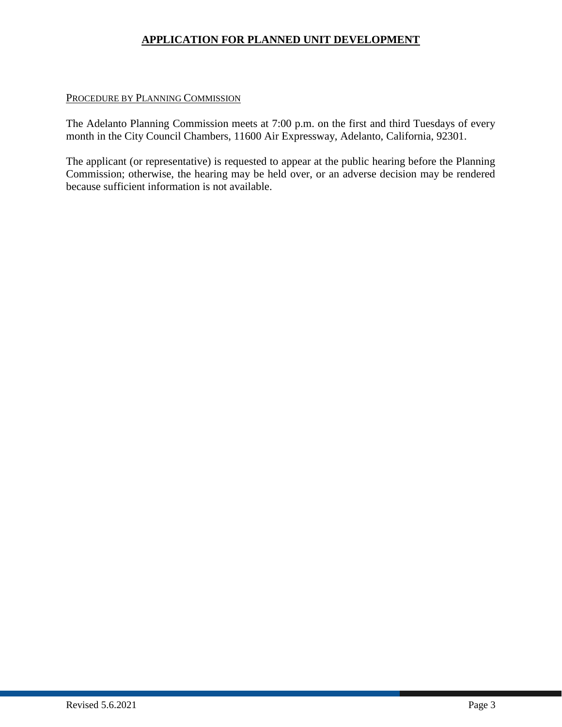#### PROCEDURE BY PLANNING COMMISSION

The Adelanto Planning Commission meets at 7:00 p.m. on the first and third Tuesdays of every month in the City Council Chambers, 11600 Air Expressway, Adelanto, California, 92301.

The applicant (or representative) is requested to appear at the public hearing before the Planning Commission; otherwise, the hearing may be held over, or an adverse decision may be rendered because sufficient information is not available.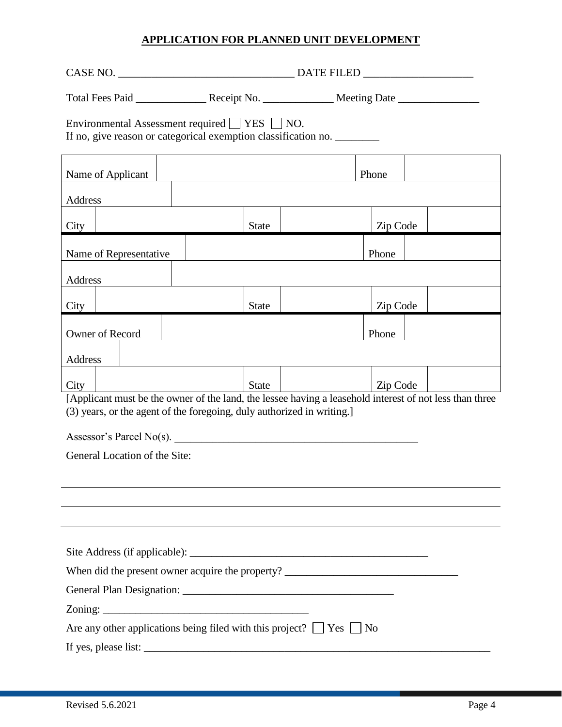| Total Fees Paid _____________________Receipt No. _____________________Meeting Date _________________                                                                              |  |              |  |          |  |  |
|-----------------------------------------------------------------------------------------------------------------------------------------------------------------------------------|--|--------------|--|----------|--|--|
| Environmental Assessment required   YES   NO.<br>If no, give reason or categorical exemption classification no.                                                                   |  |              |  |          |  |  |
| Name of Applicant<br>Phone                                                                                                                                                        |  |              |  |          |  |  |
| Address                                                                                                                                                                           |  |              |  |          |  |  |
| City                                                                                                                                                                              |  | <b>State</b> |  | Zip Code |  |  |
| Name of Representative                                                                                                                                                            |  |              |  | Phone    |  |  |
| Address                                                                                                                                                                           |  |              |  |          |  |  |
| City                                                                                                                                                                              |  | <b>State</b> |  | Zip Code |  |  |
| Owner of Record                                                                                                                                                                   |  |              |  | Phone    |  |  |
| Address                                                                                                                                                                           |  |              |  |          |  |  |
| City                                                                                                                                                                              |  | <b>State</b> |  | Zip Code |  |  |
| [Applicant must be the owner of the land, the lessee having a leasehold interest of not less than three<br>(3) years, or the agent of the foregoing, duly authorized in writing.] |  |              |  |          |  |  |
| Assessor's Parcel No(s).                                                                                                                                                          |  |              |  |          |  |  |
| General Location of the Site:                                                                                                                                                     |  |              |  |          |  |  |
|                                                                                                                                                                                   |  |              |  |          |  |  |
|                                                                                                                                                                                   |  |              |  |          |  |  |
|                                                                                                                                                                                   |  |              |  |          |  |  |
|                                                                                                                                                                                   |  |              |  |          |  |  |
| When did the present owner acquire the property? ________________________________                                                                                                 |  |              |  |          |  |  |
|                                                                                                                                                                                   |  |              |  |          |  |  |
|                                                                                                                                                                                   |  |              |  |          |  |  |
| Are any other applications being filed with this project? $\Box$ Yes $\Box$ No                                                                                                    |  |              |  |          |  |  |
|                                                                                                                                                                                   |  |              |  |          |  |  |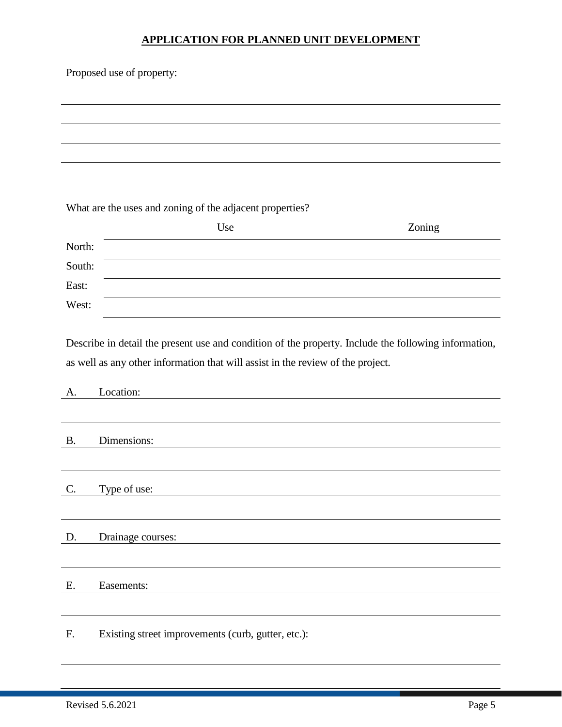| Proposed use of property: |                                                                                                      |        |  |  |
|---------------------------|------------------------------------------------------------------------------------------------------|--------|--|--|
|                           |                                                                                                      |        |  |  |
|                           |                                                                                                      |        |  |  |
|                           |                                                                                                      |        |  |  |
|                           |                                                                                                      |        |  |  |
|                           |                                                                                                      |        |  |  |
|                           | What are the uses and zoning of the adjacent properties?                                             |        |  |  |
|                           | Use                                                                                                  | Zoning |  |  |
| North:                    |                                                                                                      |        |  |  |
| South:                    |                                                                                                      |        |  |  |
| East:                     |                                                                                                      |        |  |  |
| West:                     |                                                                                                      |        |  |  |
|                           |                                                                                                      |        |  |  |
|                           | Describe in detail the present use and condition of the property. Include the following information, |        |  |  |
|                           | as well as any other information that will assist in the review of the project.                      |        |  |  |
| A.                        | Location:                                                                                            |        |  |  |
|                           |                                                                                                      |        |  |  |
| <b>B.</b>                 | Dimensions:                                                                                          |        |  |  |
|                           |                                                                                                      |        |  |  |
|                           |                                                                                                      |        |  |  |
| C.                        | Type of use:                                                                                         |        |  |  |
|                           |                                                                                                      |        |  |  |
| D.                        | Drainage courses:                                                                                    |        |  |  |
|                           |                                                                                                      |        |  |  |
| Ε.                        | Easements:                                                                                           |        |  |  |
|                           |                                                                                                      |        |  |  |
|                           |                                                                                                      |        |  |  |
| F.                        | Existing street improvements (curb, gutter, etc.):                                                   |        |  |  |
|                           |                                                                                                      |        |  |  |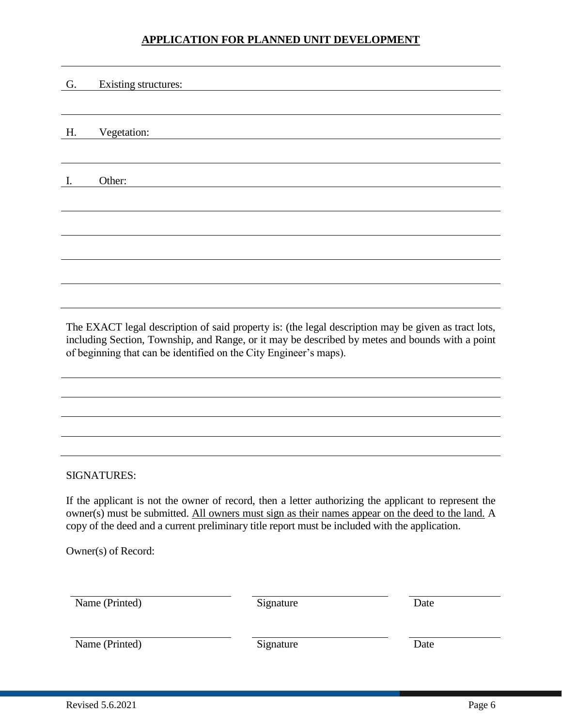| G. | Existing structures: |
|----|----------------------|
|    |                      |
|    |                      |
| H. | Vegetation:          |
|    |                      |
|    |                      |
| I. | Other:               |
|    |                      |
|    |                      |
|    |                      |
|    |                      |
|    |                      |
|    |                      |
|    |                      |

The EXACT legal description of said property is: (the legal description may be given as tract lots, including Section, Township, and Range, or it may be described by metes and bounds with a point of beginning that can be identified on the City Engineer's maps).

## SIGNATURES:

If the applicant is not the owner of record, then a letter authorizing the applicant to represent the owner(s) must be submitted. All owners must sign as their names appear on the deed to the land. A copy of the deed and a current preliminary title report must be included with the application.

Owner(s) of Record:

| Name (Printed) | Signature | Date |
|----------------|-----------|------|
| Name (Printed) | Signature | Date |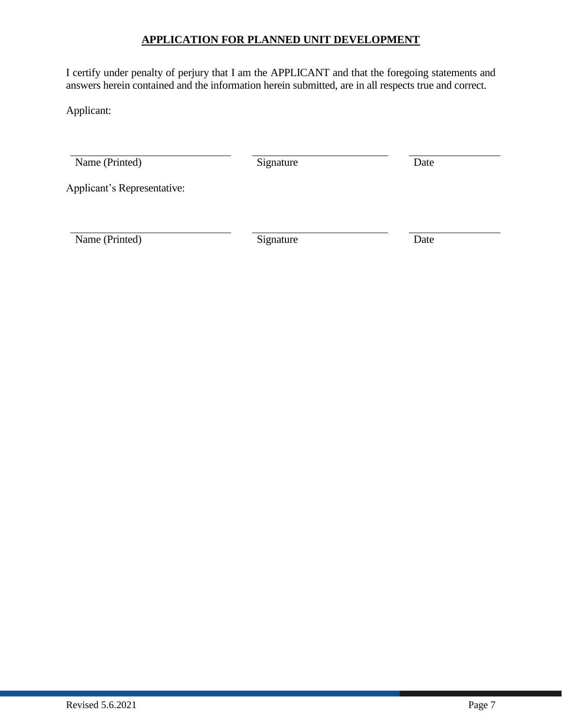I certify under penalty of perjury that I am the APPLICANT and that the foregoing statements and answers herein contained and the information herein submitted, are in all respects true and correct.

Applicant:

Name (Printed) Signature Date

Applicant's Representative:

Name (Printed) Signature Date